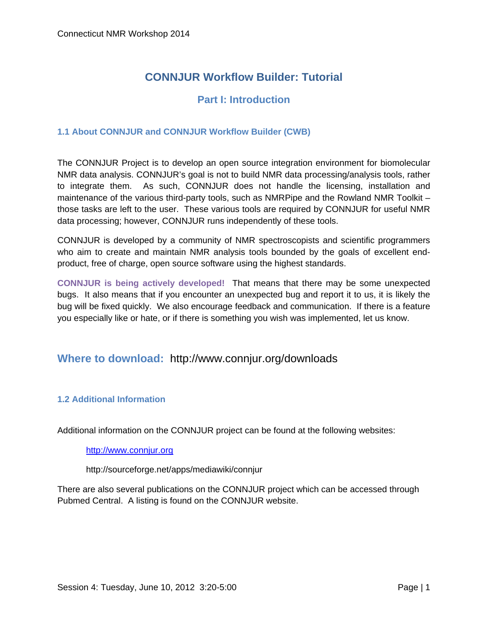# **CONNJUR Workflow Builder: Tutorial**

### **Part I: Introduction**

#### **1.1 About CONNJUR and CONNJUR Workflow Builder (CWB)**

The CONNJUR Project is to develop an open source integration environment for biomolecular NMR data analysis. CONNJUR's goal is not to build NMR data processing/analysis tools, rather to integrate them. As such, CONNJUR does not handle the licensing, installation and maintenance of the various third-party tools, such as NMRPipe and the Rowland NMR Toolkit – those tasks are left to the user. These various tools are required by CONNJUR for useful NMR data processing; however, CONNJUR runs independently of these tools.

CONNJUR is developed by a community of NMR spectroscopists and scientific programmers who aim to create and maintain NMR analysis tools bounded by the goals of excellent endproduct, free of charge, open source software using the highest standards.

**CONNJUR is being actively developed!** That means that there may be some unexpected bugs. It also means that if you encounter an unexpected bug and report it to us, it is likely the bug will be fixed quickly. We also encourage feedback and communication. If there is a feature you especially like or hate, or if there is something you wish was implemented, let us know.

### **Where to download:** http://www.connjur.org/downloads

#### **1.2 Additional Information**

Additional information on the CONNJUR project can be found at the following websites:

#### [http://www.connjur.org](http://www.connjur.org/)

http://sourceforge.net/apps/mediawiki/connjur

There are also several publications on the CONNJUR project which can be accessed through Pubmed Central. A listing is found on the CONNJUR website.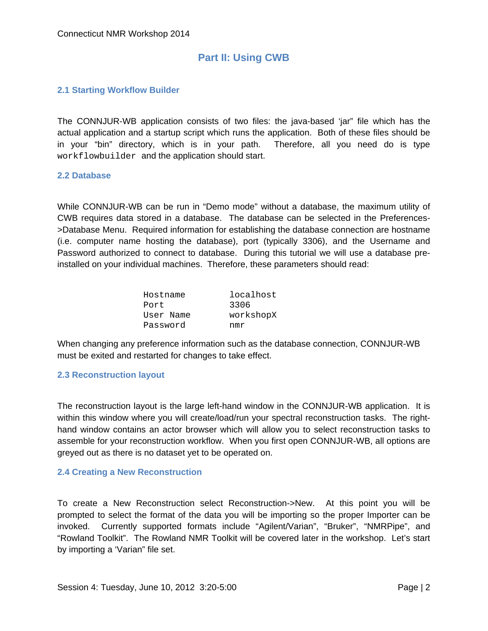### **Part II: Using CWB**

#### **2.1 Starting Workflow Builder**

The CONNJUR-WB application consists of two files: the java-based 'jar" file which has the actual application and a startup script which runs the application. Both of these files should be in your "bin" directory, which is in your path. Therefore, all you need do is type workflowbuilder and the application should start.

#### **2.2 Database**

While CONNJUR-WB can be run in "Demo mode" without a database, the maximum utility of CWB requires data stored in a database. The database can be selected in the Preferences- >Database Menu. Required information for establishing the database connection are hostname (i.e. computer name hosting the database), port (typically 3306), and the Username and Password authorized to connect to database. During this tutorial we will use a database preinstalled on your individual machines. Therefore, these parameters should read:

| Hostname  | localhost |
|-----------|-----------|
| Port      | 3306      |
| User Name | workshopX |
| Password  | nmr       |

When changing any preference information such as the database connection, CONNJUR-WB must be exited and restarted for changes to take effect.

#### **2.3 Reconstruction layout**

The reconstruction layout is the large left-hand window in the CONNJUR-WB application. It is within this window where you will create/load/run your spectral reconstruction tasks. The righthand window contains an actor browser which will allow you to select reconstruction tasks to assemble for your reconstruction workflow. When you first open CONNJUR-WB, all options are greyed out as there is no dataset yet to be operated on.

#### **2.4 Creating a New Reconstruction**

To create a New Reconstruction select Reconstruction->New. At this point you will be prompted to select the format of the data you will be importing so the proper Importer can be invoked. Currently supported formats include "Agilent/Varian", "Bruker", "NMRPipe", and "Rowland Toolkit". The Rowland NMR Toolkit will be covered later in the workshop. Let's start by importing a 'Varian" file set.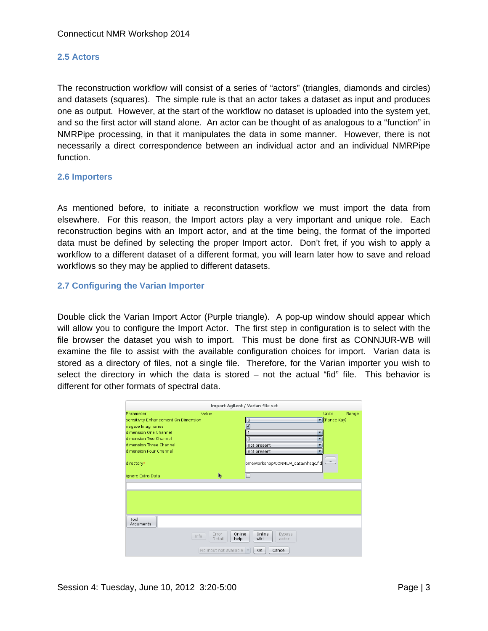#### **2.5 Actors**

The reconstruction workflow will consist of a series of "actors" (triangles, diamonds and circles) and datasets (squares). The simple rule is that an actor takes a dataset as input and produces one as output. However, at the start of the workflow no dataset is uploaded into the system yet, and so the first actor will stand alone. An actor can be thought of as analogous to a "function" in NMRPipe processing, in that it manipulates the data in some manner. However, there is not necessarily a direct correspondence between an individual actor and an individual NMRPipe function.

#### **2.6 Importers**

As mentioned before, to initiate a reconstruction workflow we must import the data from elsewhere. For this reason, the Import actors play a very important and unique role. Each reconstruction begins with an Import actor, and at the time being, the format of the imported data must be defined by selecting the proper Import actor. Don't fret, if you wish to apply a workflow to a different dataset of a different format, you will learn later how to save and reload workflows so they may be applied to different datasets.

#### **2.7 Configuring the Varian Importer**

Double click the Varian Import Actor (Purple triangle). A pop-up window should appear which will allow you to configure the Import Actor. The first step in configuration is to select with the file browser the dataset you wish to import. This must be done first as CONNJUR-WB will examine the file to assist with the available configuration choices for import. Varian data is stored as a directory of files, not a single file. Therefore, for the Varian importer you wish to select the directory in which the data is stored – not the actual "fid" file. This behavior is different for other formats of spectral data.

| Import Agilent / Varian file set                                                                                                                                                                      |                                                                                                                                                           |  |  |
|-------------------------------------------------------------------------------------------------------------------------------------------------------------------------------------------------------|-----------------------------------------------------------------------------------------------------------------------------------------------------------|--|--|
| Parameter<br>Value<br>sensitivity Enhancement On Dimension<br>negate Imaginaries<br>dimension One Channel<br>dimension Two Channel<br>dimension Three Channel<br>dimension Four Channel<br>directory* | Units<br>Range<br>▼ (Rance Kay)<br>$\overline{2}$<br>$\overline{v}$<br>3<br>not present<br>not present<br>$\cdots$<br>ome/workshop/CONNJUR_data/nhsqc.fid |  |  |
| R,<br>ignore Extra Data                                                                                                                                                                               |                                                                                                                                                           |  |  |
| Tool<br>Arguments:<br>Error<br>Info<br>Detail<br>Fid input not available v                                                                                                                            | Online<br>Online<br>Bypass<br>help<br>wiki<br>actor<br>OK<br>Cancel                                                                                       |  |  |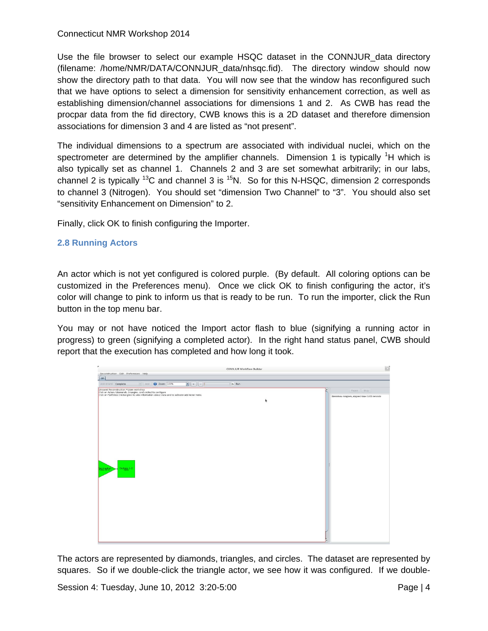#### Connecticut NMR Workshop 2014

Use the file browser to select our example HSQC dataset in the CONNJUR data directory (filename: /home/NMR/DATA/CONNJUR\_data/nhsqc.fid). The directory window should now show the directory path to that data. You will now see that the window has reconfigured such that we have options to select a dimension for sensitivity enhancement correction, as well as establishing dimension/channel associations for dimensions 1 and 2. As CWB has read the procpar data from the fid directory, CWB knows this is a 2D dataset and therefore dimension associations for dimension 3 and 4 are listed as "not present".

The individual dimensions to a spectrum are associated with individual nuclei, which on the spectrometer are determined by the amplifier channels. Dimension 1 is typically <sup>1</sup>H which is also typically set as channel 1. Channels 2 and 3 are set somewhat arbitrarily; in our labs, channel 2 is typically <sup>13</sup>C and channel 3 is  $15N$ . So for this N-HSQC, dimension 2 corresponds to channel 3 (Nitrogen). You should set "dimension Two Channel" to "3". You should also set "sensitivity Enhancement on Dimension" to 2.

Finally, click OK to finish configuring the Importer.

#### **2.8 Running Actors**

An actor which is not yet configured is colored purple. (By default. All coloring options can be customized in the Preferences menu). Once we click OK to finish configuring the actor, it's color will change to pink to inform us that is ready to be run. To run the importer, click the Run button in the top menu bar.

You may or not have noticed the Import actor flash to blue (signifying a running actor in progress) to green (signifying a completed actor). In the right hand status panel, CWB should report that the execution has completed and how long it took.



The actors are represented by diamonds, triangles, and circles. The dataset are represented by squares. So if we double-click the triangle actor, we see how it was configured. If we double-

Session 4: Tuesday, June 10, 2012 3:20-5:00 Page | 4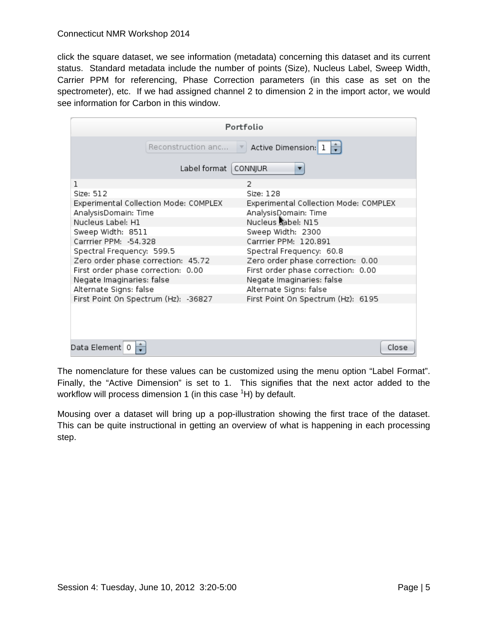click the square dataset, we see information (metadata) concerning this dataset and its current status. Standard metadata include the number of points (Size), Nucleus Label, Sweep Width, Carrier PPM for referencing, Phase Correction parameters (in this case as set on the spectrometer), etc. If we had assigned channel 2 to dimension 2 in the import actor, we would see information for Carbon in this window.

| Portfolio                             |                                                    |  |  |
|---------------------------------------|----------------------------------------------------|--|--|
|                                       | Reconstruction anc $\ \cdot\ $ Active Dimension: 1 |  |  |
| Label format                          | CONNJUR                                            |  |  |
| $\mathbf{1}$                          | $\mathcal{P}$                                      |  |  |
| Size: 512                             | Size: 128                                          |  |  |
| Experimental Collection Mode: COMPLEX | Experimental Collection Mode: COMPLEX              |  |  |
| AnalysisDomain: Time                  | AnalysisDomain: Time                               |  |  |
| Nucleus Label: H1                     | Nucleus Rabel: N15                                 |  |  |
| Sweep Width: 8511                     | Sweep Width: 2300                                  |  |  |
| Carrrier PPM: -54.328                 | Carrrier PPM: 120.891                              |  |  |
| Spectral Frequency: 599.5             | Spectral Frequency: 60.8                           |  |  |
| Zero order phase correction: 45.72    | Zero order phase correction: 0.00                  |  |  |
| First order phase correction: 0.00    | First order phase correction: 0.00                 |  |  |
| Negate Imaginaries: false             | Negate Imaginaries: false                          |  |  |
| Alternate Signs: false                | Alternate Signs: false                             |  |  |
| First Point On Spectrum (Hz): -36827  | First Point On Spectrum (Hz): 6195                 |  |  |
|                                       |                                                    |  |  |
| Data Element 0                        | Close                                              |  |  |

The nomenclature for these values can be customized using the menu option "Label Format". Finally, the "Active Dimension" is set to 1. This signifies that the next actor added to the workflow will process dimension 1 (in this case <sup>1</sup>H) by default.

Mousing over a dataset will bring up a pop-illustration showing the first trace of the dataset. This can be quite instructional in getting an overview of what is happening in each processing step.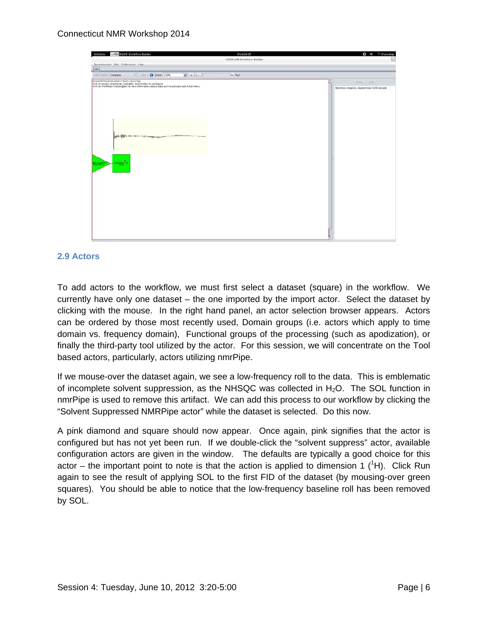| Cortune Workflow Builder<br>Activities                                                                                                                                                                                                                                                                                                | Wed1425                         |                                                     | O el Workshop |
|---------------------------------------------------------------------------------------------------------------------------------------------------------------------------------------------------------------------------------------------------------------------------------------------------------------------------------------|---------------------------------|-----------------------------------------------------|---------------|
|                                                                                                                                                                                                                                                                                                                                       | <b>CONNJUR Workflow Builder</b> |                                                     |               |
| Reconstruction Edit Preferences Help<br>SR                                                                                                                                                                                                                                                                                            |                                 |                                                     |               |
| a Add 3 Zeon: 100%<br>Addistrand Complete                                                                                                                                                                                                                                                                                             | <b>BEERING</b><br>A. Run        |                                                     |               |
| Unsaved Reconstruction *User: workshop<br>Citak on Astors (claimonds, triangles, and circles) to configure<br>Citak on Portfolios (rectangles) to view information about data and to activate add Actor menu<br>into the best commenced and the comment<br>Accelerations of the Acceleration<br>$\sim$ magneton<br><b>Bull Aright</b> |                                 | ×<br>Execution complete, elapsed time 0.928 seconds | Pause: Stag:  |

#### **2.9 Actors**

To add actors to the workflow, we must first select a dataset (square) in the workflow. We currently have only one dataset – the one imported by the import actor. Select the dataset by clicking with the mouse. In the right hand panel, an actor selection browser appears. Actors can be ordered by those most recently used, Domain groups (i.e. actors which apply to time domain vs. frequency domain), Functional groups of the processing (such as apodization), or finally the third-party tool utilized by the actor. For this session, we will concentrate on the Tool based actors, particularly, actors utilizing nmrPipe.

If we mouse-over the dataset again, we see a low-frequency roll to the data. This is emblematic of incomplete solvent suppression, as the NHSQC was collected in  $H_2O$ . The SOL function in nmrPipe is used to remove this artifact. We can add this process to our workflow by clicking the "Solvent Suppressed NMRPipe actor" while the dataset is selected. Do this now.

A pink diamond and square should now appear. Once again, pink signifies that the actor is configured but has not yet been run. If we double-click the "solvent suppress" actor, available configuration actors are given in the window. The defaults are typically a good choice for this actor – the important point to note is that the action is applied to dimension 1 ( ${}^{1}$ H). Click Run again to see the result of applying SOL to the first FID of the dataset (by mousing-over green squares). You should be able to notice that the low-frequency baseline roll has been removed by SOL.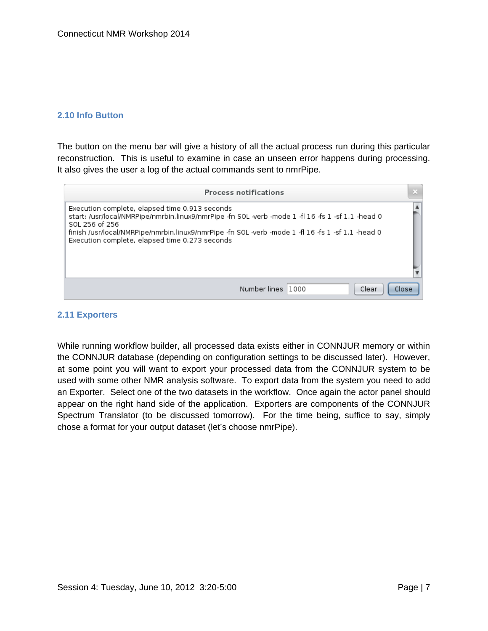#### **2.10 Info Button**

The button on the menu bar will give a history of all the actual process run during this particular reconstruction. This is useful to examine in case an unseen error happens during processing. It also gives the user a log of the actual commands sent to nmrPipe.

| <b>Process notifications</b>                                                                                                                                                                                                                                                                                                   | ×.    |
|--------------------------------------------------------------------------------------------------------------------------------------------------------------------------------------------------------------------------------------------------------------------------------------------------------------------------------|-------|
| Execution complete, elapsed time 0.913 seconds<br>start: /usr/local/NMRPipe/nmrbin.linux9/nmrPipe -fn SOL -verb -mode 1 -fl 16 -fs 1 -sf 1.1 -head 0<br>SOL 256 of 256<br>0 finish /usr/local/NMRPipe/nmrbin.linux9/nmrPipe -fn SOL -verb -mode 1 -fl 16 -fs 1 -sf 1.1 -head<br>Execution complete, elapsed time 0.273 seconds |       |
| Number lines 1000<br>Clear                                                                                                                                                                                                                                                                                                     | Close |

#### **2.11 Exporters**

While running workflow builder, all processed data exists either in CONNJUR memory or within the CONNJUR database (depending on configuration settings to be discussed later). However, at some point you will want to export your processed data from the CONNJUR system to be used with some other NMR analysis software. To export data from the system you need to add an Exporter. Select one of the two datasets in the workflow. Once again the actor panel should appear on the right hand side of the application. Exporters are components of the CONNJUR Spectrum Translator (to be discussed tomorrow). For the time being, suffice to say, simply chose a format for your output dataset (let's choose nmrPipe).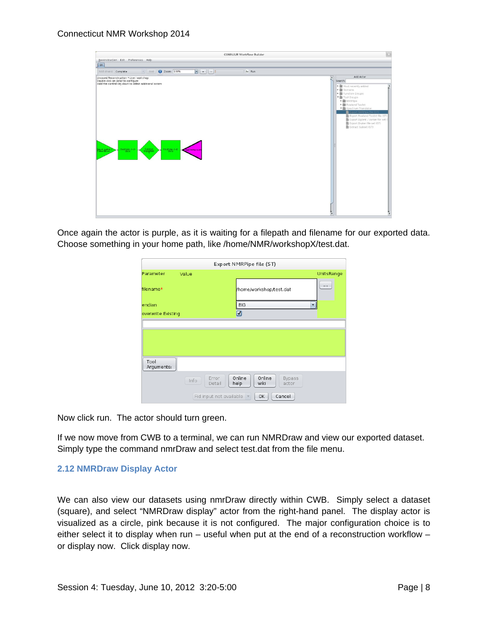

Once again the actor is purple, as it is waiting for a filepath and filename for our exported data. Choose something in your home path, like /home/NMR/workshopX/test.dat.

| Export NMRPipe file (ST)  |                                                     |  |  |
|---------------------------|-----------------------------------------------------|--|--|
| Parameter<br>Value        | UnitsRange                                          |  |  |
| filename*                 | $\sim$<br>/home/workshop/test.dat                   |  |  |
| endian                    | BIG<br>$\blacktriangledown$                         |  |  |
| overwrite Existing        | ☑                                                   |  |  |
|                           |                                                     |  |  |
|                           |                                                     |  |  |
|                           |                                                     |  |  |
|                           |                                                     |  |  |
| Tool<br>Arguments:        |                                                     |  |  |
| Error<br>Info<br>Detail   | Online<br>Online<br>Bypass<br>help<br>wiki<br>actor |  |  |
| Fid input not available v | Cancel<br>ОK                                        |  |  |

Now click run. The actor should turn green.

If we now move from CWB to a terminal, we can run NMRDraw and view our exported dataset. Simply type the command nmrDraw and select test.dat from the file menu.

#### **2.12 NMRDraw Display Actor**

We can also view our datasets using nmrDraw directly within CWB. Simply select a dataset (square), and select "NMRDraw display" actor from the right-hand panel. The display actor is visualized as a circle, pink because it is not configured. The major configuration choice is to either select it to display when run – useful when put at the end of a reconstruction workflow – or display now. Click display now.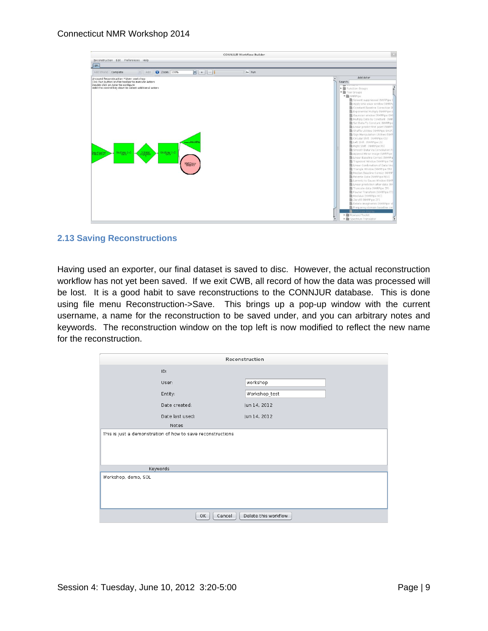

#### **2.13 Saving Reconstructions**

Having used an exporter, our final dataset is saved to disc. However, the actual reconstruction workflow has not yet been saved. If we exit CWB, all record of how the data was processed will be lost. It is a good habit to save reconstructions to the CONNJUR database. This is done using file menu Reconstruction->Save. This brings up a pop-up window with the current username, a name for the reconstruction to be saved under, and you can arbitrary notes and keywords. The reconstruction window on the top left is now modified to reflect the new name for the reconstruction.

| Reconstruction                                              |                                |  |  |
|-------------------------------------------------------------|--------------------------------|--|--|
| ID:                                                         |                                |  |  |
| User:                                                       | workshop                       |  |  |
| Entity:                                                     | Workshop_test                  |  |  |
| Date created:                                               | Jun 14, 2012                   |  |  |
| Date last used:                                             | Jun 14, 2012                   |  |  |
| Notes                                                       |                                |  |  |
| This is just a demonstration of how to save reconstructions |                                |  |  |
|                                                             |                                |  |  |
|                                                             |                                |  |  |
|                                                             |                                |  |  |
| Keywords                                                    |                                |  |  |
| Workshop, demo, SOL                                         |                                |  |  |
|                                                             |                                |  |  |
|                                                             |                                |  |  |
|                                                             |                                |  |  |
|                                                             |                                |  |  |
| 0K                                                          | Delete this workflow<br>Cancel |  |  |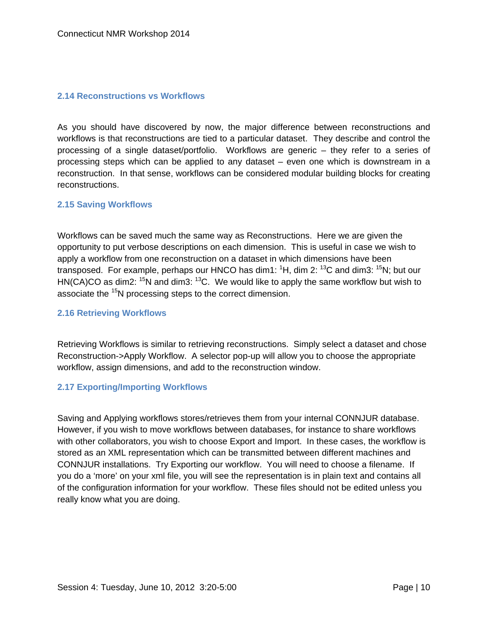#### **2.14 Reconstructions vs Workflows**

As you should have discovered by now, the major difference between reconstructions and workflows is that reconstructions are tied to a particular dataset. They describe and control the processing of a single dataset/portfolio. Workflows are generic – they refer to a series of processing steps which can be applied to any dataset – even one which is downstream in a reconstruction. In that sense, workflows can be considered modular building blocks for creating reconstructions.

#### **2.15 Saving Workflows**

Workflows can be saved much the same way as Reconstructions. Here we are given the opportunity to put verbose descriptions on each dimension. This is useful in case we wish to apply a workflow from one reconstruction on a dataset in which dimensions have been transposed. For example, perhaps our HNCO has dim1: <sup>1</sup>H, dim 2: <sup>13</sup>C and dim3: <sup>15</sup>N; but our HN(CA)CO as dim2:  $15N$  and dim3:  $13C$ . We would like to apply the same workflow but wish to associate the <sup>15</sup>N processing steps to the correct dimension.

#### **2.16 Retrieving Workflows**

Retrieving Workflows is similar to retrieving reconstructions. Simply select a dataset and chose Reconstruction->Apply Workflow. A selector pop-up will allow you to choose the appropriate workflow, assign dimensions, and add to the reconstruction window.

#### **2.17 Exporting/Importing Workflows**

Saving and Applying workflows stores/retrieves them from your internal CONNJUR database. However, if you wish to move workflows between databases, for instance to share workflows with other collaborators, you wish to choose Export and Import. In these cases, the workflow is stored as an XML representation which can be transmitted between different machines and CONNJUR installations. Try Exporting our workflow. You will need to choose a filename. If you do a 'more' on your xml file, you will see the representation is in plain text and contains all of the configuration information for your workflow. These files should not be edited unless you really know what you are doing.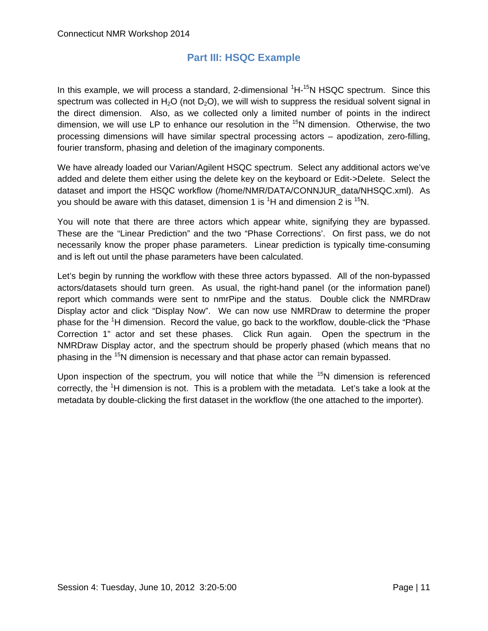### **Part III: HSQC Example**

In this example, we will process a standard, 2-dimensional <sup>1</sup>H-<sup>15</sup>N HSQC spectrum. Since this spectrum was collected in  $H_2O$  (not  $D_2O$ ), we will wish to suppress the residual solvent signal in the direct dimension. Also, as we collected only a limited number of points in the indirect dimension, we will use LP to enhance our resolution in the  $15N$  dimension. Otherwise, the two processing dimensions will have similar spectral processing actors – apodization, zero-filling, fourier transform, phasing and deletion of the imaginary components.

We have already loaded our Varian/Agilent HSQC spectrum. Select any additional actors we've added and delete them either using the delete key on the keyboard or Edit->Delete. Select the dataset and import the HSQC workflow (/home/NMR/DATA/CONNJUR\_data/NHSQC.xml). As you should be aware with this dataset, dimension 1 is <sup>1</sup>H and dimension 2 is <sup>15</sup>N.

You will note that there are three actors which appear white, signifying they are bypassed. These are the "Linear Prediction" and the two "Phase Corrections'. On first pass, we do not necessarily know the proper phase parameters. Linear prediction is typically time-consuming and is left out until the phase parameters have been calculated.

Let's begin by running the workflow with these three actors bypassed. All of the non-bypassed actors/datasets should turn green. As usual, the right-hand panel (or the information panel) report which commands were sent to nmrPipe and the status. Double click the NMRDraw Display actor and click "Display Now". We can now use NMRDraw to determine the proper phase for the <sup>1</sup>H dimension. Record the value, go back to the workflow, double-click the "Phase Correction 1" actor and set these phases. Click Run again. Open the spectrum in the NMRDraw Display actor, and the spectrum should be properly phased (which means that no phasing in the <sup>15</sup>N dimension is necessary and that phase actor can remain bypassed.

Upon inspection of the spectrum, you will notice that while the  $15N$  dimension is referenced correctly, the <sup>1</sup>H dimension is not. This is a problem with the metadata. Let's take a look at the metadata by double-clicking the first dataset in the workflow (the one attached to the importer).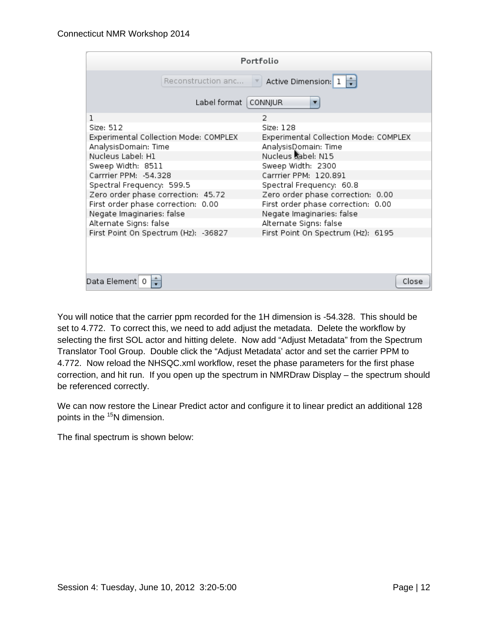| Portfolio                             |                                                                           |  |  |
|---------------------------------------|---------------------------------------------------------------------------|--|--|
|                                       | Reconstruction anc $\blacktriangledown$ <b>Active Dimension:</b> 1 $\div$ |  |  |
| Label format                          | CONNJUR<br>▼                                                              |  |  |
| L                                     | $\mathcal{P}$                                                             |  |  |
| Size: 512                             | Size: 128                                                                 |  |  |
| Experimental Collection Mode: COMPLEX | Experimental Collection Mode: COMPLEX                                     |  |  |
| AnalysisDomain: Time                  | AnalysisDomain: Time                                                      |  |  |
| Nucleus Label: H1                     | Nucleus Rabel: N15                                                        |  |  |
| Sweep Width: 8511                     | Sweep Width: 2300                                                         |  |  |
| Carrrier PPM: -54.328                 | Carrrier PPM: 120.891                                                     |  |  |
| Spectral Frequency: 599.5             | Spectral Frequency: 60.8                                                  |  |  |
| Zero order phase correction: 45.72    | Zero order phase correction: 0.00                                         |  |  |
| First order phase correction: 0.00    | First order phase correction: 0.00                                        |  |  |
| Negate Imaginaries: false             | Negate Imaginaries: false                                                 |  |  |
| Alternate Signs: false                | Alternate Signs: false                                                    |  |  |
| First Point On Spectrum (Hz): -36827  | First Point On Spectrum (Hz): 6195                                        |  |  |
|                                       |                                                                           |  |  |
| Data Element 0                        | Close                                                                     |  |  |

You will notice that the carrier ppm recorded for the 1H dimension is -54.328. This should be set to 4.772. To correct this, we need to add adjust the metadata. Delete the workflow by selecting the first SOL actor and hitting delete. Now add "Adjust Metadata" from the Spectrum Translator Tool Group. Double click the "Adjust Metadata' actor and set the carrier PPM to 4.772. Now reload the NHSQC.xml workflow, reset the phase parameters for the first phase correction, and hit run. If you open up the spectrum in NMRDraw Display – the spectrum should be referenced correctly.

We can now restore the Linear Predict actor and configure it to linear predict an additional 128 points in the <sup>15</sup>N dimension.

The final spectrum is shown below: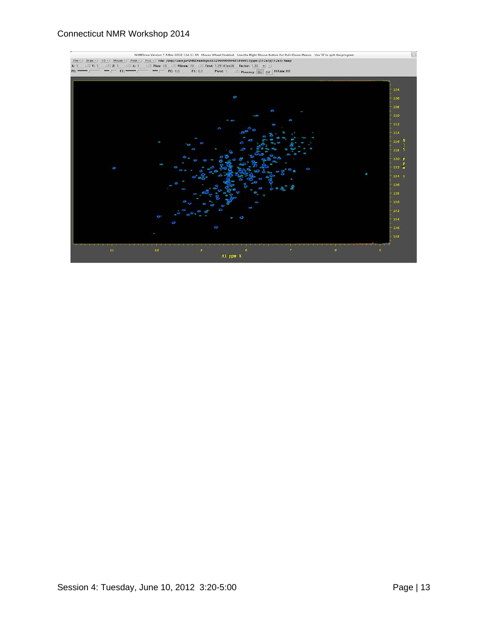### Connecticut NMR Workshop 2014

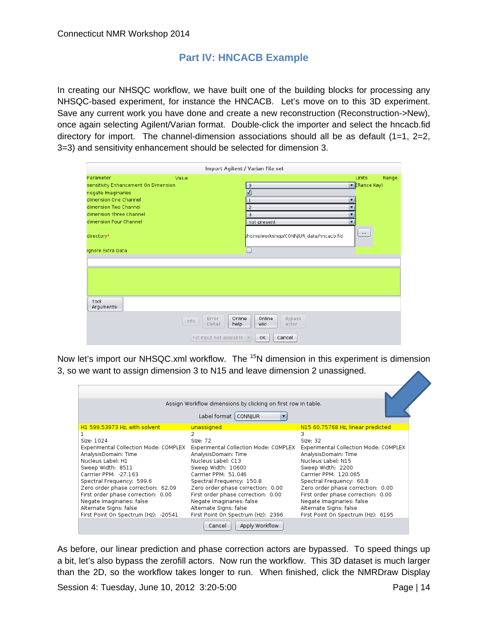### **Part IV: HNCACB Example**

In creating our NHSQC workflow, we have built one of the building blocks for processing any NHSQC-based experiment, for instance the HNCACB. Let's move on to this 3D experiment. Save any current work you have done and create a new reconstruction (Reconstruction->New), once again selecting Agilent/Varian format. Double-click the importer and select the hncacb.fid directory for import. The channel-dimension associations should all be as default (1=1, 2=2, 3=3) and sensitivity enhancement should be selected for dimension 3.

|                                                                                                     | Import Agilent / Varian file set                                             |
|-----------------------------------------------------------------------------------------------------|------------------------------------------------------------------------------|
| Parameter<br>Value<br>sensitivity Enhancement On Dimension<br>negate Imaginaries                    | <b>Units</b><br>Range<br>Rance Kay)<br>3<br>⊽                                |
| dimension One Channel<br>dimension Two Channel<br>dimension Three Channel<br>dimension Four Channel | 1<br>$\overline{\phantom{a}}$<br>3<br>not present<br>$\overline{\mathbf{v}}$ |
| directory*                                                                                          | $\sim 10^{-1}$<br>/home/workshop/CONNJUR_data/hncacb.fid                     |
| ignore Extra Data                                                                                   |                                                                              |
| Tool<br>Arguments:                                                                                  |                                                                              |
| Error<br>Info<br>Detail                                                                             | Online<br>Online<br>Bypass<br>help<br>wiki<br>actor                          |
|                                                                                                     | Fid input not available $\sqrt{*}$<br>OK<br>Cancel                           |

Now let's import our NHSQC.xml workflow. The <sup>15</sup>N dimension in this experiment is dimension 3, so we want to assign dimension 3 to N15 and leave dimension 2 unassigned.

|                                       | Assign Workflow dimensions by clicking on first row in table. |                                       |
|---------------------------------------|---------------------------------------------------------------|---------------------------------------|
|                                       | Label format CONNJUR                                          |                                       |
| H1 599.53973 Hz, with solvent         | unassigned                                                    | N15 60.75768 Hz, linear predicted     |
|                                       | 2                                                             | 3                                     |
| Size: 1024                            | Size: 72                                                      | Size: 32                              |
| Experimental Collection Mode: COMPLEX | Experimental Collection Mode: COMPLEX                         | Experimental Collection Mode: COMPLEX |
| AnalysisDomain: Time                  | AnalysisDomain: Time                                          | AnalysisDomain: Time                  |
| Nucleus Label: H1                     | Nucleus Label: C13                                            | Nucleus Label: N15                    |
| Sweep Width: 8511                     | Sweep Width: 10600                                            | Sweep Width: 2200                     |
| Carrrier PPM: -27.163                 | Carrrier PPM: 51.046                                          | Carrrier PPM: 120.065                 |
| Spectral Frequency: 599.6             | Spectral Frequency: 150.8                                     | Spectral Frequency: 60.8              |
| Zero order phase correction: 62.09    | Zero order phase correction: 0.00                             | Zero order phase correction: 0.00     |
| First order phase correction: 0.00    | First order phase correction: 0.00                            | First order phase correction: 0.00    |
| Negate Imaginaries: false             | Negate Imaginaries: false                                     | Negate Imaginaries: false             |
| Alternate Signs: false                | Alternate Signs: false                                        | Alternate Signs: false                |
| First Point On Spectrum (Hz): -20541  | First Point On Spectrum (Hz): 2396                            | First Point On Spectrum (Hz): 6195    |
|                                       | Apply Workflow<br>Cancel                                      |                                       |

As before, our linear prediction and phase correction actors are bypassed. To speed things up a bit, let's also bypass the zerofill actors. Now run the workflow. This 3D dataset is much larger than the 2D, so the workflow takes longer to run. When finished, click the NMRDraw Display

Session 4: Tuesday, June 10, 2012 3:20-5:00 Page | 14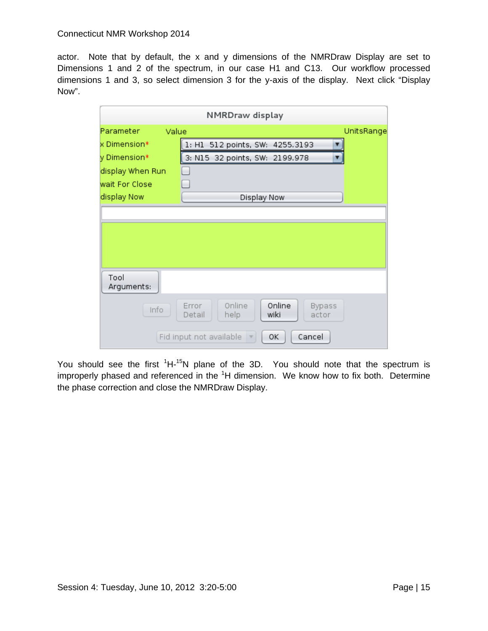#### Connecticut NMR Workshop 2014

actor. Note that by default, the x and y dimensions of the NMRDraw Display are set to Dimensions 1 and 2 of the spectrum, in our case H1 and C13. Our workflow processed dimensions 1 and 3, so select dimension 3 for the y-axis of the display. Next click "Display Now".

| NMRDraw display    |                                                                        |  |
|--------------------|------------------------------------------------------------------------|--|
| Parameter          | Value<br>UnitsRange                                                    |  |
| x Dimension*       | 512 points, SW: 4255.3193<br>l:HI                                      |  |
| y Dimension*       | 3: N15 32 points, SW: 2199.978                                         |  |
| display When Run   |                                                                        |  |
| wait For Close     |                                                                        |  |
| display Now        | Display Now                                                            |  |
|                    |                                                                        |  |
|                    |                                                                        |  |
|                    |                                                                        |  |
|                    |                                                                        |  |
|                    |                                                                        |  |
| Tool<br>Arguments: |                                                                        |  |
| Info               | Online<br>Online<br>Error<br>Bypass<br>Detail<br>actor<br>help<br>wiki |  |
|                    | Cancel<br>Fid input not available<br>ОΚ                                |  |

You should see the first  ${}^{1}H-{}^{15}N$  plane of the 3D. You should note that the spectrum is improperly phased and referenced in the <sup>1</sup>H dimension. We know how to fix both. Determine the phase correction and close the NMRDraw Display.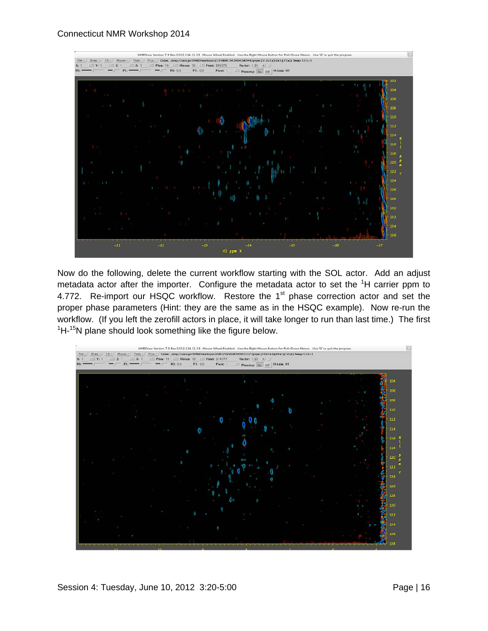

Now do the following, delete the current workflow starting with the SOL actor. Add an adjust metadata actor after the importer. Configure the metadata actor to set the <sup>1</sup>H carrier ppm to 4.772. Re-import our HSQC workflow. Restore the 1<sup>st</sup> phase correction actor and set the proper phase parameters (Hint: they are the same as in the HSQC example). Now re-run the workflow. (If you left the zerofill actors in place, it will take longer to run than last time.) The first  $1H$ - $15N$  plane should look something like the figure below.

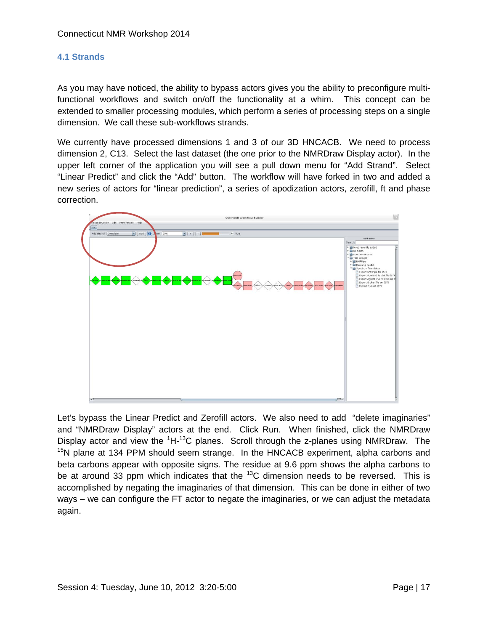#### **4.1 Strands**

As you may have noticed, the ability to bypass actors gives you the ability to preconfigure multifunctional workflows and switch on/off the functionality at a whim. This concept can be extended to smaller processing modules, which perform a series of processing steps on a single dimension. We call these sub-workflows strands.

We currently have processed dimensions 1 and 3 of our 3D HNCACB. We need to process dimension 2, C13. Select the last dataset (the one prior to the NMRDraw Display actor). In the upper left corner of the application you will see a pull down menu for "Add Strand". Select "Linear Predict" and click the "Add" button. The workflow will have forked in two and added a new series of actors for "linear prediction", a series of apodization actors, zerofill, ft and phase correction.



Let's bypass the Linear Predict and Zerofill actors. We also need to add "delete imaginaries" and "NMRDraw Display" actors at the end. Click Run. When finished, click the NMRDraw Display actor and view the  ${}^{1}H-{}^{13}C$  planes. Scroll through the z-planes using NMRDraw. The <sup>15</sup>N plane at 134 PPM should seem strange. In the HNCACB experiment, alpha carbons and beta carbons appear with opposite signs. The residue at 9.6 ppm shows the alpha carbons to be at around 33 ppm which indicates that the  $^{13}$ C dimension needs to be reversed. This is accomplished by negating the imaginaries of that dimension. This can be done in either of two ways – we can configure the FT actor to negate the imaginaries, or we can adjust the metadata again.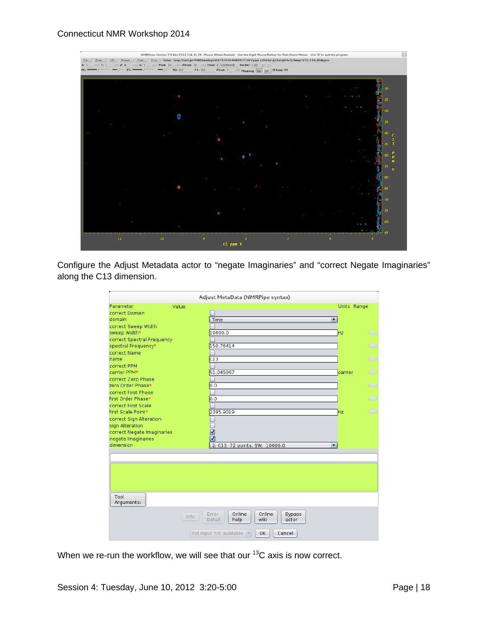

Configure the Adjust Metadata actor to "negate Imaginaries" and "correct Negate Imaginaries" along the C13 dimension.

| Adjust MetaData (NMRPipe syntax)                                                                                                                                                                                                                                                                                                                                                                                                         |                                                                                                                                                                            |                                                                                                                                          |  |
|------------------------------------------------------------------------------------------------------------------------------------------------------------------------------------------------------------------------------------------------------------------------------------------------------------------------------------------------------------------------------------------------------------------------------------------|----------------------------------------------------------------------------------------------------------------------------------------------------------------------------|------------------------------------------------------------------------------------------------------------------------------------------|--|
| Parameter<br>Value<br>correct Domain<br>domain<br>correct Sweep Width<br>sweep Width*<br>correct Spectral Frequency<br>spectral Frequency*<br>correct Name<br>name<br>correct PPM<br>carrier PPM*<br>correct Zero Phase<br>zero Order Phase*<br>correct First Phase<br>first Order Phase*<br>correct First Scale<br>first Scale Point*<br>correct Sign Alteration<br>sign Alteration<br>correct Negate Imaginaries<br>negate Imaginaries | $\blacktriangledown$<br>Time<br>10600.0<br>150.76414<br>C13<br>51.045967<br>0.0<br>0.0<br>2395.9019<br>⊽<br>⊽                                                              | Units Range<br>$\equiv$<br>lHz<br>$\equiv$<br>$\equiv$<br>$\equiv$<br>carrier<br>$\equiv$<br>$\equiv$<br>$\overline{\phantom{0}}$<br>ΙHz |  |
| dimension<br>Tool<br>Arguments:                                                                                                                                                                                                                                                                                                                                                                                                          | 2: C13 72 points, SW: 10600.0<br>z<br>Online<br>Online<br>Bypass<br>Error<br>Info<br>help<br>wiki<br>Detail<br>actor<br>Fid input not available $\sqrt{*}$<br>OK<br>Cancel |                                                                                                                                          |  |

When we re-run the workflow, we will see that our <sup>13</sup>C axis is now correct.